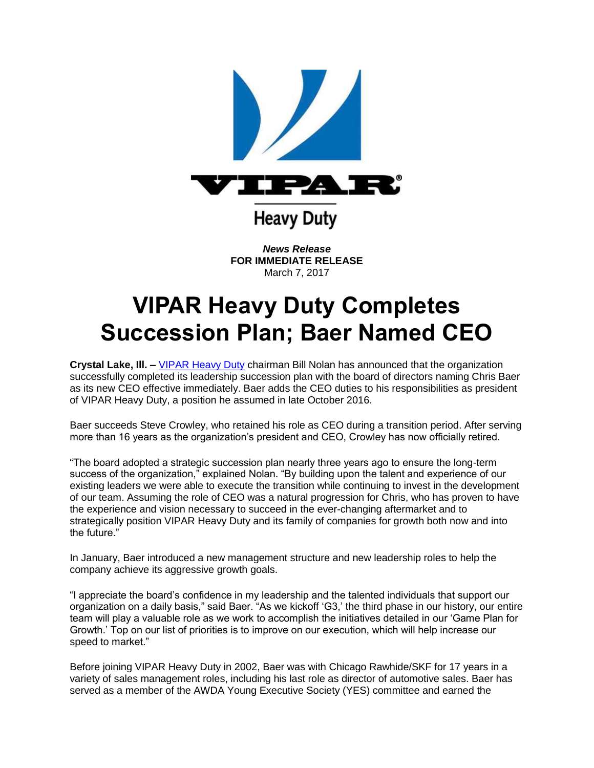

*News Release* **FOR IMMEDIATE RELEASE** March 7, 2017

## **VIPAR Heavy Duty Completes Succession Plan; Baer Named CEO**

**Crystal Lake, Ill. –** [VIPAR Heavy Duty](http://www.vipar.com/?utm_source=Cision&utm_medium=PR&utm_campaign=BaerCEO) chairman Bill Nolan has announced that the organization successfully completed its leadership succession plan with the board of directors naming Chris Baer as its new CEO effective immediately. Baer adds the CEO duties to his responsibilities as president of VIPAR Heavy Duty, a position he assumed in late October 2016.

Baer succeeds Steve Crowley, who retained his role as CEO during a transition period. After serving more than 16 years as the organization's president and CEO, Crowley has now officially retired.

"The board adopted a strategic succession plan nearly three years ago to ensure the long-term success of the organization," explained Nolan. "By building upon the talent and experience of our existing leaders we were able to execute the transition while continuing to invest in the development of our team. Assuming the role of CEO was a natural progression for Chris, who has proven to have the experience and vision necessary to succeed in the ever-changing aftermarket and to strategically position VIPAR Heavy Duty and its family of companies for growth both now and into the future."

In January, Baer introduced a new management structure and new leadership roles to help the company achieve its aggressive growth goals.

"I appreciate the board's confidence in my leadership and the talented individuals that support our organization on a daily basis," said Baer. "As we kickoff 'G3,' the third phase in our history, our entire team will play a valuable role as we work to accomplish the initiatives detailed in our 'Game Plan for Growth.' Top on our list of priorities is to improve on our execution, which will help increase our speed to market."

Before joining VIPAR Heavy Duty in 2002, Baer was with Chicago Rawhide/SKF for 17 years in a variety of sales management roles, including his last role as director of automotive sales. Baer has served as a member of the AWDA Young Executive Society (YES) committee and earned the